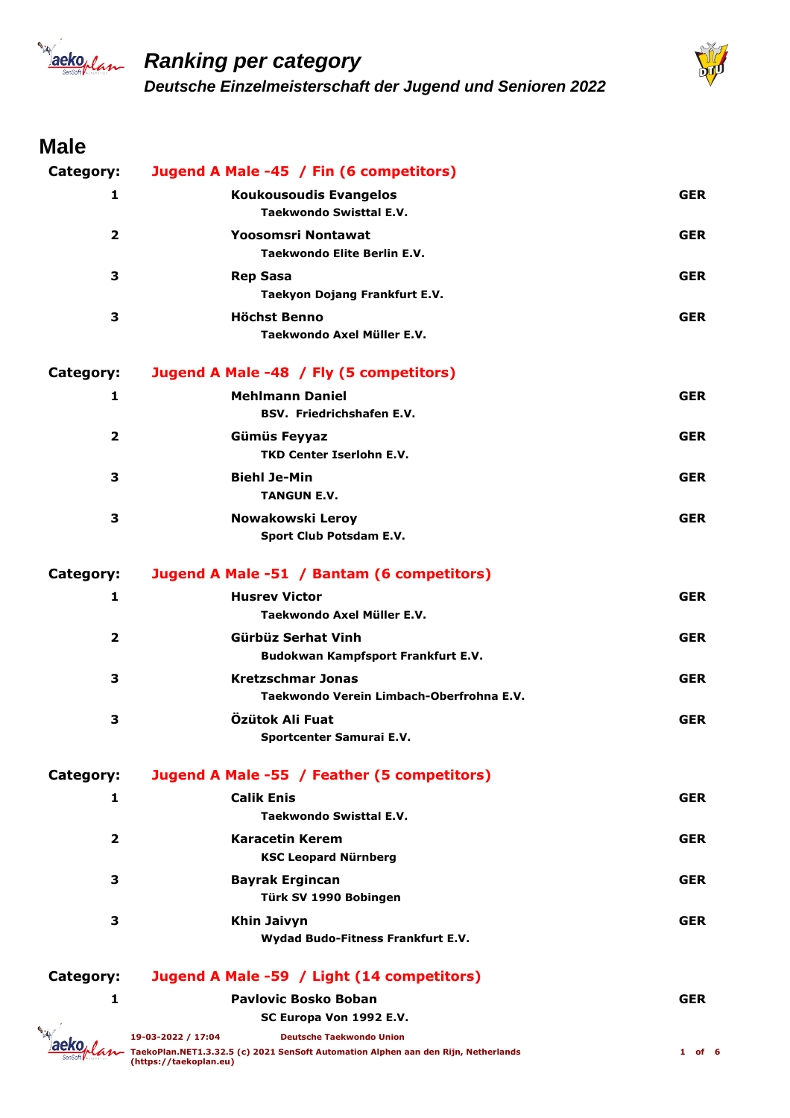



#### **Male**

| Category:               | Jugend A Male -45 / Fin (6 competitors)                                                                                                                               |            |
|-------------------------|-----------------------------------------------------------------------------------------------------------------------------------------------------------------------|------------|
| 1                       | <b>Koukousoudis Evangelos</b>                                                                                                                                         | <b>GER</b> |
|                         | <b>Taekwondo Swisttal E.V.</b>                                                                                                                                        |            |
| $\overline{\mathbf{2}}$ | Yoosomsri Nontawat<br><b>Taekwondo Elite Berlin E.V.</b>                                                                                                              | <b>GER</b> |
| 3                       | <b>Rep Sasa</b><br>Taekyon Dojang Frankfurt E.V.                                                                                                                      | <b>GER</b> |
| 3                       | <b>Höchst Benno</b><br>Taekwondo Axel Müller E.V.                                                                                                                     | <b>GER</b> |
| Category:               | Jugend A Male -48 / Fly (5 competitors)                                                                                                                               |            |
| 1                       | <b>Mehlmann Daniel</b><br><b>BSV. Friedrichshafen E.V.</b>                                                                                                            | <b>GER</b> |
| $\overline{\mathbf{2}}$ | Gümüs Feyyaz<br><b>TKD Center Iserlohn E.V.</b>                                                                                                                       | <b>GER</b> |
| 3                       | <b>Biehl Je-Min</b><br><b>TANGUN E.V.</b>                                                                                                                             | <b>GER</b> |
| 3                       | Nowakowski Leroy<br>Sport Club Potsdam E.V.                                                                                                                           | <b>GER</b> |
| Category:               | Jugend A Male -51 / Bantam (6 competitors)                                                                                                                            |            |
| 1                       | <b>Husrey Victor</b><br>Taekwondo Axel Müller E.V.                                                                                                                    | <b>GER</b> |
| $\overline{\mathbf{2}}$ | Gürbüz Serhat Vinh<br>Budokwan Kampfsport Frankfurt E.V.                                                                                                              | <b>GER</b> |
| 3                       | <b>Kretzschmar Jonas</b><br>Taekwondo Verein Limbach-Oberfrohna E.V.                                                                                                  | <b>GER</b> |
| 3                       | Özütok Ali Fuat<br>Sportcenter Samurai E.V.                                                                                                                           | <b>GER</b> |
| Category:               | Jugend A Male -55 / Feather (5 competitors)                                                                                                                           |            |
| 1                       | <b>Calik Enis</b><br>Taekwondo Swisttal E.V.                                                                                                                          | <b>GER</b> |
| 2                       | Karacetin Kerem<br><b>KSC Leopard Nürnberg</b>                                                                                                                        | <b>GER</b> |
| 3                       | <b>Bayrak Ergincan</b><br>Türk SV 1990 Bobingen                                                                                                                       | <b>GER</b> |
| 3                       | <b>Khin Jaivyn</b><br>Wydad Budo-Fitness Frankfurt E.V.                                                                                                               | <b>GER</b> |
| Category:               | Jugend A Male -59 / Light (14 competitors)                                                                                                                            |            |
| 1                       | <b>Pavlovic Bosko Boban</b>                                                                                                                                           | <b>GER</b> |
|                         | SC Europa Von 1992 E.V.                                                                                                                                               |            |
|                         | 19-03-2022 / 17:04<br><b>Deutsche Taekwondo Union</b><br>TaekoPlan.NET1.3.32.5 (c) 2021 SenSoft Automation Alphen aan den Rijn, Netherlands<br>(https://taekoplan.eu) | $1$ of 6   |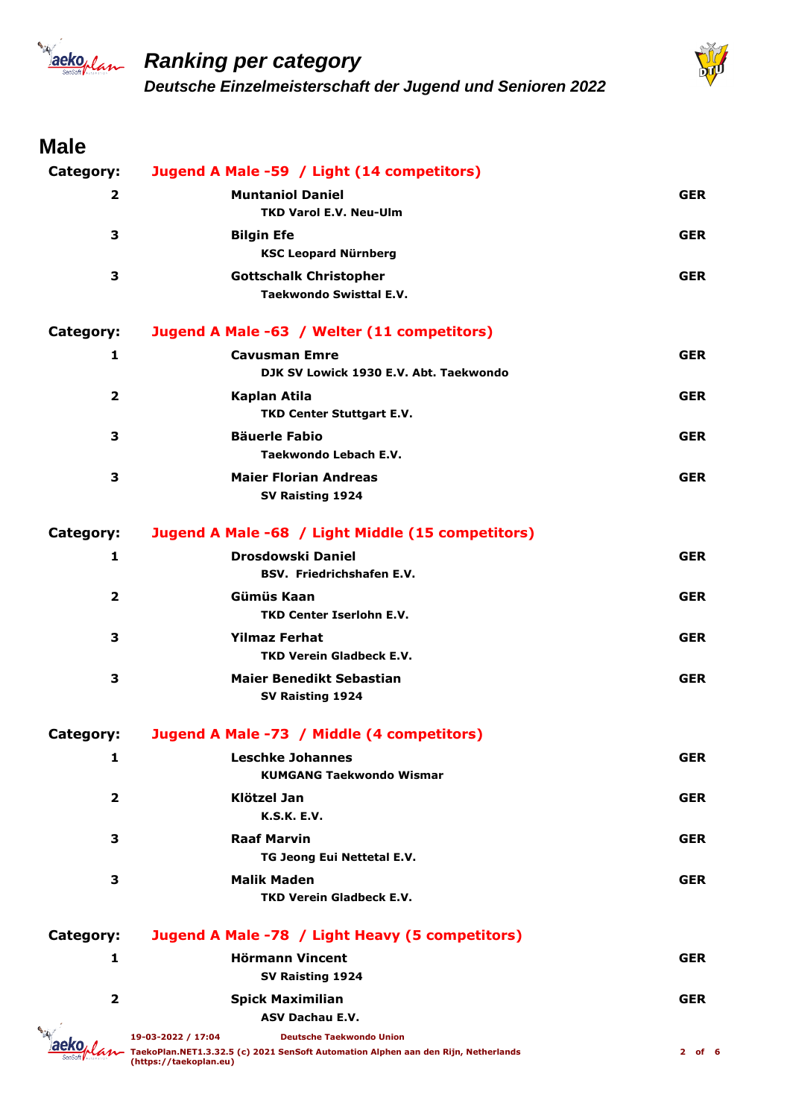



## **Male**

| Category:               | Jugend A Male -59 / Light (14 competitors)                                                                                                                            |            |
|-------------------------|-----------------------------------------------------------------------------------------------------------------------------------------------------------------------|------------|
| $\overline{2}$          | <b>Muntaniol Daniel</b>                                                                                                                                               | <b>GER</b> |
|                         | <b>TKD Varol E.V. Neu-Ulm</b>                                                                                                                                         |            |
| 3                       | <b>Bilgin Efe</b><br><b>KSC Leopard Nürnberg</b>                                                                                                                      | <b>GER</b> |
| 3                       | <b>Gottschalk Christopher</b><br><b>Taekwondo Swisttal E.V.</b>                                                                                                       | <b>GER</b> |
| Category:               | Jugend A Male -63 / Welter (11 competitors)                                                                                                                           |            |
| 1                       | <b>Cavusman Emre</b><br>DJK SV Lowick 1930 E.V. Abt. Taekwondo                                                                                                        | <b>GER</b> |
| $\overline{2}$          | Kaplan Atila<br><b>TKD Center Stuttgart E.V.</b>                                                                                                                      | <b>GER</b> |
| 3                       | <b>Bäuerle Fabio</b><br>Taekwondo Lebach E.V.                                                                                                                         | <b>GER</b> |
| 3                       | <b>Maier Florian Andreas</b><br>SV Raisting 1924                                                                                                                      | <b>GER</b> |
| Category:               | Jugend A Male -68 / Light Middle (15 competitors)                                                                                                                     |            |
| 1                       | <b>Drosdowski Daniel</b><br>BSV. Friedrichshafen E.V.                                                                                                                 | <b>GER</b> |
| $\overline{\mathbf{2}}$ | Gümüs Kaan<br><b>TKD Center Iserlohn E.V.</b>                                                                                                                         | <b>GER</b> |
| 3                       | <b>Yilmaz Ferhat</b><br><b>TKD Verein Gladbeck E.V.</b>                                                                                                               | <b>GER</b> |
| З                       | <b>Maier Benedikt Sebastian</b><br>SV Raisting 1924                                                                                                                   | <b>GER</b> |
| Category:               | Jugend A Male -73 / Middle (4 competitors)                                                                                                                            |            |
| 1                       | <b>Leschke Johannes</b><br><b>KUMGANG Taekwondo Wismar</b>                                                                                                            | GER        |
| $\overline{2}$          | Klötzel Jan<br><b>K.S.K. E.V.</b>                                                                                                                                     | <b>GER</b> |
| 3                       | <b>Raaf Marvin</b><br>TG Jeong Eui Nettetal E.V.                                                                                                                      | <b>GER</b> |
| 3                       | <b>Malik Maden</b><br><b>TKD Verein Gladbeck E.V.</b>                                                                                                                 | <b>GER</b> |
| Category:               | Jugend A Male -78 / Light Heavy (5 competitors)                                                                                                                       |            |
| 1                       | <b>Hörmann Vincent</b>                                                                                                                                                | <b>GER</b> |
|                         | SV Raisting 1924                                                                                                                                                      |            |
| $\mathbf{2}$            | <b>Spick Maximilian</b>                                                                                                                                               | <b>GER</b> |
|                         | <b>ASV Dachau E.V.</b>                                                                                                                                                |            |
|                         | 19-03-2022 / 17:04<br><b>Deutsche Taekwondo Union</b><br>TaekoPlan.NET1.3.32.5 (c) 2021 SenSoft Automation Alphen aan den Rijn, Netherlands<br>(https://taekoplan.eu) | $2$ of 6   |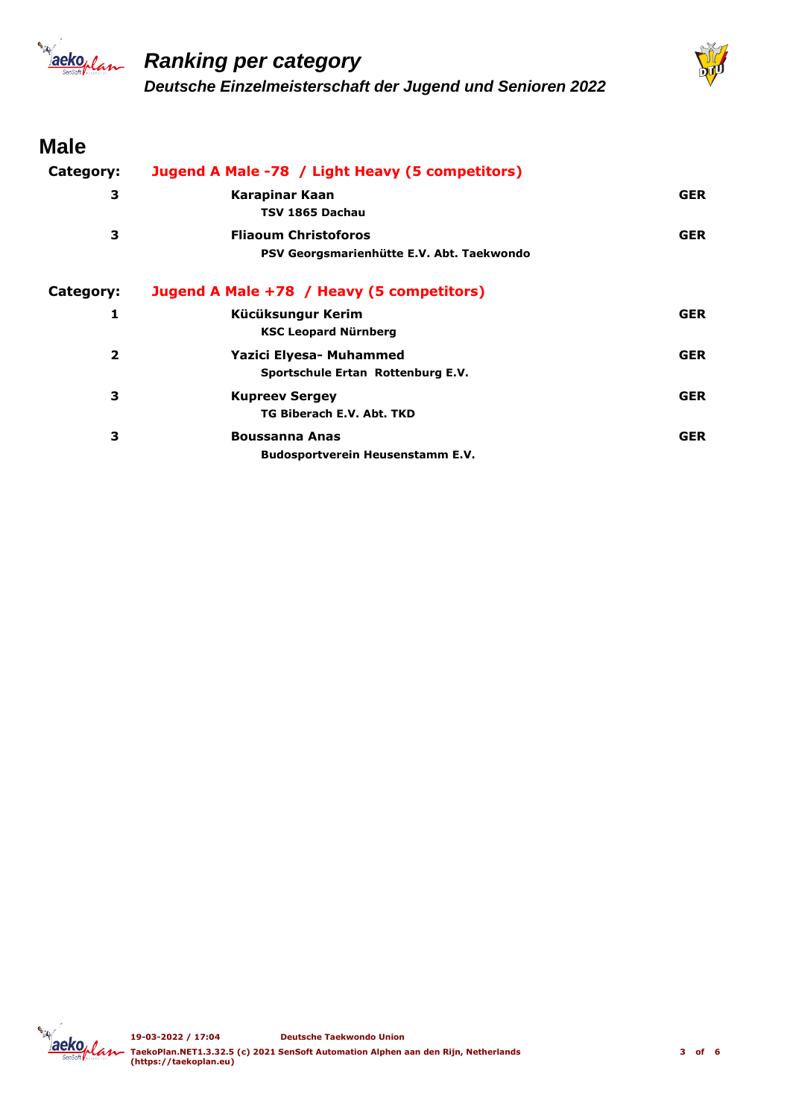



#### **Male**

| Category:      | Jugend A Male -78 / Light Heavy (5 competitors)                          |            |
|----------------|--------------------------------------------------------------------------|------------|
| 3              | Karapinar Kaan<br>TSV 1865 Dachau                                        | <b>GER</b> |
| 3              | <b>Fliaoum Christoforos</b><br>PSV Georgsmarienhütte E.V. Abt. Taekwondo | <b>GER</b> |
| Category:      | Jugend A Male +78 / Heavy (5 competitors)                                |            |
| 1              | Kücüksungur Kerim<br><b>KSC Leopard Nürnberg</b>                         | <b>GER</b> |
| $\overline{2}$ | Yazici Elyesa- Muhammed<br>Sportschule Ertan Rottenburg E.V.             | <b>GER</b> |
| 3              | <b>Kupreev Sergey</b><br>TG Biberach E.V. Abt. TKD                       | <b>GER</b> |
| 3              | <b>Boussanna Anas</b><br>Budosportverein Heusenstamm E.V.                | <b>GER</b> |

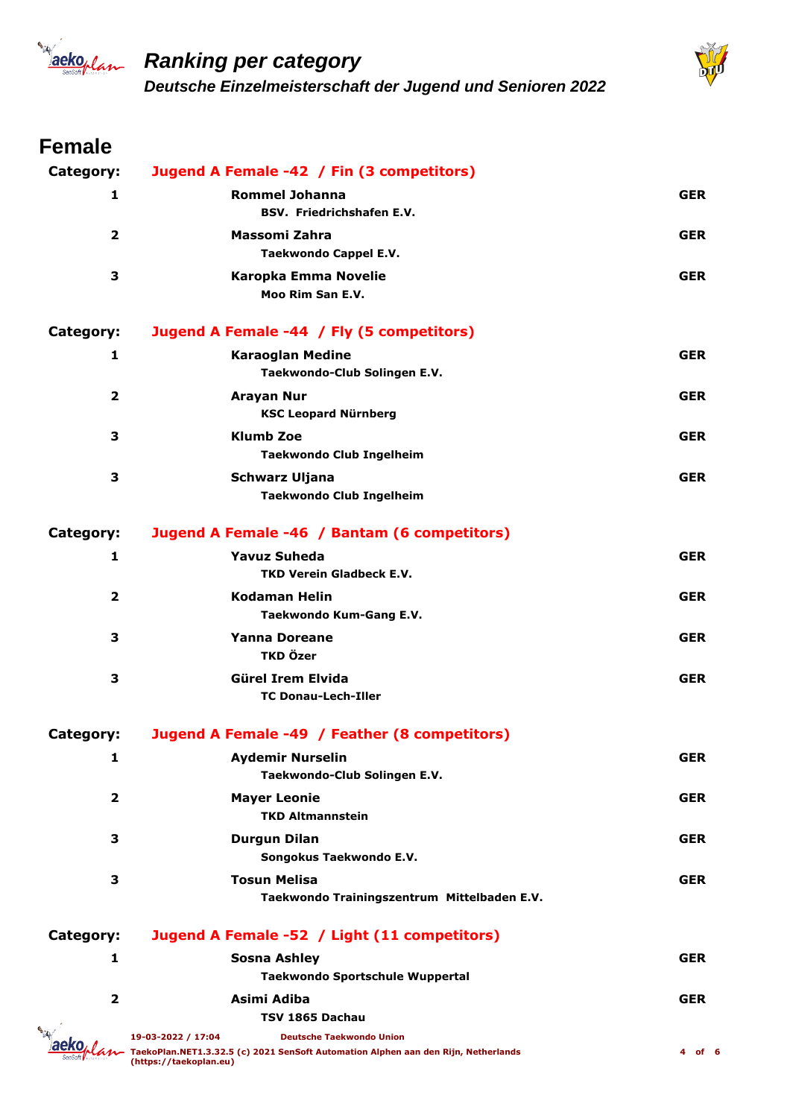



## **Female**

| Category:        | Jugend A Female -42 / Fin (3 competitors)                                                                                                                             |            |
|------------------|-----------------------------------------------------------------------------------------------------------------------------------------------------------------------|------------|
| 1                | <b>Rommel Johanna</b><br><b>BSV. Friedrichshafen E.V.</b>                                                                                                             | <b>GER</b> |
| $\overline{2}$   | Massomi Zahra<br><b>Taekwondo Cappel E.V.</b>                                                                                                                         | <b>GER</b> |
| 3                | Karopka Emma Novelie<br>Moo Rim San E.V.                                                                                                                              | <b>GER</b> |
| Category:        | Jugend A Female -44 / Fly (5 competitors)                                                                                                                             |            |
| 1                | <b>Karaoglan Medine</b><br>Taekwondo-Club Solingen E.V.                                                                                                               | <b>GER</b> |
| $\overline{2}$   | <b>Arayan Nur</b><br><b>KSC Leopard Nürnberg</b>                                                                                                                      | <b>GER</b> |
| 3                | <b>Klumb Zoe</b><br><b>Taekwondo Club Ingelheim</b>                                                                                                                   | <b>GER</b> |
| 3                | Schwarz Uljana<br><b>Taekwondo Club Ingelheim</b>                                                                                                                     | <b>GER</b> |
| <b>Category:</b> | Jugend A Female -46 / Bantam (6 competitors)                                                                                                                          |            |
| 1                | <b>Yavuz Suheda</b><br><b>TKD Verein Gladbeck E.V.</b>                                                                                                                | <b>GER</b> |
| $\mathbf{2}$     | <b>Kodaman Helin</b><br>Taekwondo Kum-Gang E.V.                                                                                                                       | <b>GER</b> |
| 3                | <b>Yanna Doreane</b><br>TKD Özer                                                                                                                                      | <b>GER</b> |
| 3                | Gürel Irem Elvida<br><b>TC Donau-Lech-Iller</b>                                                                                                                       | <b>GER</b> |
| Category:        | Jugend A Female -49 / Feather (8 competitors)                                                                                                                         |            |
| 1                | <b>Aydemir Nurselin</b><br>Taekwondo-Club Solingen E.V.                                                                                                               | <b>GER</b> |
| $\overline{2}$   | <b>Mayer Leonie</b><br><b>TKD Altmannstein</b>                                                                                                                        | <b>GER</b> |
| 3                | <b>Durgun Dilan</b><br>Songokus Taekwondo E.V.                                                                                                                        | <b>GER</b> |
| 3                | <b>Tosun Melisa</b><br>Taekwondo Trainingszentrum Mittelbaden E.V.                                                                                                    | <b>GER</b> |
| <b>Category:</b> | Jugend A Female -52 / Light (11 competitors)                                                                                                                          |            |
| 1                | <b>Sosna Ashley</b><br>Taekwondo Sportschule Wuppertal                                                                                                                | <b>GER</b> |
| $\overline{2}$   | Asimi Adiba<br>TSV 1865 Dachau                                                                                                                                        | <b>GER</b> |
|                  | 19-03-2022 / 17:04<br><b>Deutsche Taekwondo Union</b><br>TaekoPlan.NET1.3.32.5 (c) 2021 SenSoft Automation Alphen aan den Rijn, Netherlands<br>(https://taekoplan.eu) | 4 of 6     |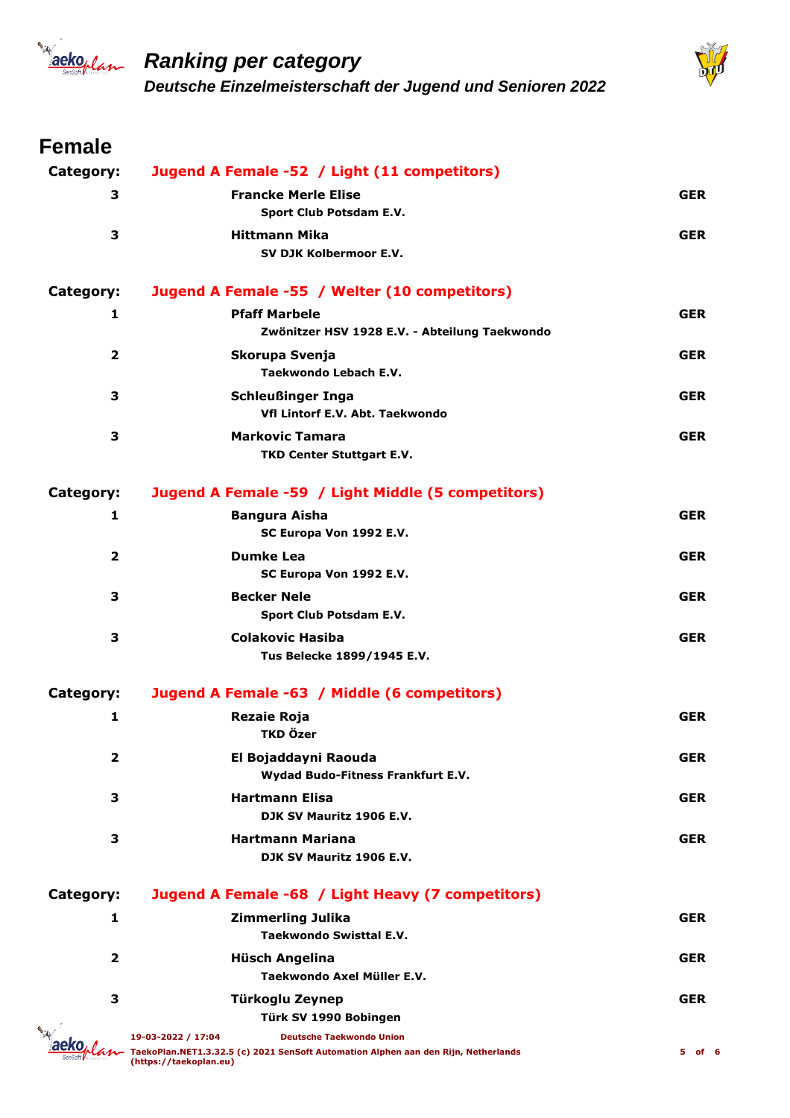



#### **Female**

| Category:      | Jugend A Female -52 / Light (11 competitors)                                                                 |            |
|----------------|--------------------------------------------------------------------------------------------------------------|------------|
| 3              | <b>Francke Merle Elise</b>                                                                                   | <b>GER</b> |
|                | Sport Club Potsdam E.V.                                                                                      |            |
| 3              | <b>Hittmann Mika</b>                                                                                         | <b>GER</b> |
|                | SV DJK Kolbermoor E.V.                                                                                       |            |
| Category:      | Jugend A Female -55 / Welter (10 competitors)                                                                |            |
| 1              | <b>Pfaff Marbele</b>                                                                                         | <b>GER</b> |
|                | Zwönitzer HSV 1928 E.V. - Abteilung Taekwondo                                                                |            |
| $\overline{2}$ | Skorupa Svenja                                                                                               | <b>GER</b> |
|                | Taekwondo Lebach E.V.                                                                                        |            |
| 3              | <b>Schleußinger Inga</b>                                                                                     | <b>GER</b> |
|                | Vfl Lintorf E.V. Abt. Taekwondo                                                                              |            |
| 3              | <b>Markovic Tamara</b>                                                                                       | <b>GER</b> |
|                | TKD Center Stuttgart E.V.                                                                                    |            |
| Category:      | Jugend A Female -59 / Light Middle (5 competitors)                                                           |            |
| 1              | <b>Bangura Aisha</b>                                                                                         | <b>GER</b> |
|                | SC Europa Von 1992 E.V.                                                                                      |            |
| $\overline{2}$ | <b>Dumke Lea</b>                                                                                             | <b>GER</b> |
|                | SC Europa Von 1992 E.V.                                                                                      |            |
| 3              | <b>Becker Nele</b>                                                                                           | <b>GER</b> |
|                | Sport Club Potsdam E.V.                                                                                      |            |
| 3              | <b>Colakovic Hasiba</b>                                                                                      | <b>GER</b> |
|                | Tus Belecke 1899/1945 E.V.                                                                                   |            |
| Category:      | Jugend A Female -63 / Middle (6 competitors)                                                                 |            |
| 1              | <b>Rezaie Roja</b>                                                                                           | <b>GER</b> |
|                | TKD Özer                                                                                                     |            |
| 2              | El Bojaddayni Raouda                                                                                         | <b>GER</b> |
|                | Wydad Budo-Fitness Frankfurt E.V.                                                                            |            |
| 3              | <b>Hartmann Elisa</b>                                                                                        | <b>GER</b> |
|                | DJK SV Mauritz 1906 E.V.                                                                                     |            |
| 3              | <b>Hartmann Mariana</b>                                                                                      | <b>GER</b> |
|                | DJK SV Mauritz 1906 E.V.                                                                                     |            |
| Category:      | Jugend A Female -68 / Light Heavy (7 competitors)                                                            |            |
| 1              | <b>Zimmerling Julika</b>                                                                                     | <b>GER</b> |
|                | Taekwondo Swisttal E.V.                                                                                      |            |
| $\overline{2}$ | Hüsch Angelina                                                                                               | <b>GER</b> |
|                | Taekwondo Axel Müller E.V.                                                                                   |            |
| 3              | Türkoglu Zeynep                                                                                              | <b>GER</b> |
|                | Türk SV 1990 Bobingen                                                                                        |            |
|                | 19-03-2022 / 17:04<br><b>Deutsche Taekwondo Union</b>                                                        |            |
|                | TaekoPlan.NET1.3.32.5 (c) 2021 SenSoft Automation Alphen aan den Rijn, Netherlands<br>(https://taekoplan.eu) | 5 of 6     |